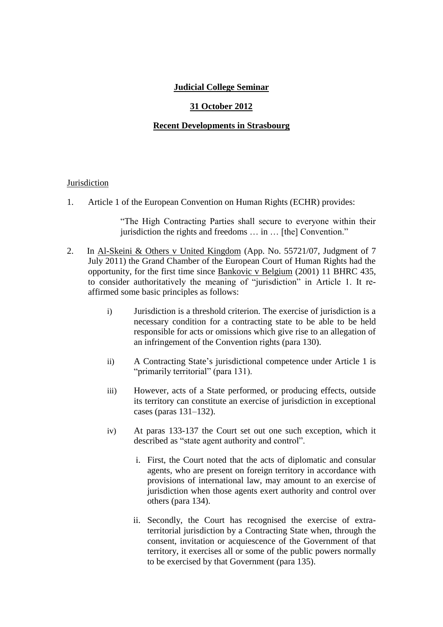# **Judicial College Seminar**

## **31 October 2012**

### **Recent Developments in Strasbourg**

#### **Jurisdiction**

1. Article 1 of the European Convention on Human Rights (ECHR) provides:

"The High Contracting Parties shall secure to everyone within their jurisdiction the rights and freedoms … in … [the] Convention."

- 2. In Al-Skeini & Others v United Kingdom (App. No. 55721/07, Judgment of 7 July 2011) the Grand Chamber of the European Court of Human Rights had the opportunity, for the first time since  $\frac{Bankovic v Belgium}{2001}$  (2001) 11 BHRC 435, to consider authoritatively the meaning of "jurisdiction" in Article 1. It reaffirmed some basic principles as follows:
	- i) Jurisdiction is a threshold criterion. The exercise of jurisdiction is a necessary condition for a contracting state to be able to be held responsible for acts or omissions which give rise to an allegation of an infringement of the Convention rights (para 130).
	- ii) A Contracting State's jurisdictional competence under Article 1 is "primarily territorial" (para 131).
	- iii) However, acts of a State performed, or producing effects, outside its territory can constitute an exercise of jurisdiction in exceptional cases (paras 131–132).
	- iv) At paras 133-137 the Court set out one such exception, which it described as "state agent authority and control".
		- i. First, the Court noted that the acts of diplomatic and consular agents, who are present on foreign territory in accordance with provisions of international law, may amount to an exercise of jurisdiction when those agents exert authority and control over others (para 134).
		- ii. Secondly, the Court has recognised the exercise of extraterritorial jurisdiction by a Contracting State when, through the consent, invitation or acquiescence of the Government of that territory, it exercises all or some of the public powers normally to be exercised by that Government (para 135).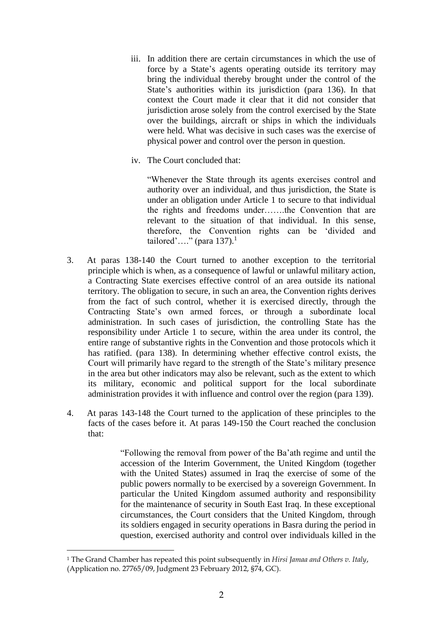- iii. In addition there are certain circumstances in which the use of force by a State's agents operating outside its territory may bring the individual thereby brought under the control of the State's authorities within its jurisdiction (para 136). In that context the Court made it clear that it did not consider that jurisdiction arose solely from the control exercised by the State over the buildings, aircraft or ships in which the individuals were held. What was decisive in such cases was the exercise of physical power and control over the person in question.
- iv. The Court concluded that:

"Whenever the State through its agents exercises control and authority over an individual, and thus jurisdiction, the State is under an obligation under Article 1 to secure to that individual the rights and freedoms under…….the Convention that are relevant to the situation of that individual. In this sense, therefore, the Convention rights can be 'divided and tailored'…." (para 137). $<sup>1</sup>$ </sup>

- 3. At paras 138-140 the Court turned to another exception to the territorial principle which is when, as a consequence of lawful or unlawful military action, a Contracting State exercises effective control of an area outside its national territory. The obligation to secure, in such an area, the Convention rights derives from the fact of such control, whether it is exercised directly, through the Contracting State's own armed forces, or through a subordinate local administration. In such cases of jurisdiction, the controlling State has the responsibility under Article 1 to secure, within the area under its control, the entire range of substantive rights in the Convention and those protocols which it has ratified. (para 138). In determining whether effective control exists, the Court will primarily have regard to the strength of the State's military presence in the area but other indicators may also be relevant, such as the extent to which its military, economic and political support for the local subordinate administration provides it with influence and control over the region (para 139).
- 4. At paras 143-148 the Court turned to the application of these principles to the facts of the cases before it. At paras 149-150 the Court reached the conclusion that:

"Following the removal from power of the Ba'ath regime and until the accession of the Interim Government, the United Kingdom (together with the United States) assumed in Iraq the exercise of some of the public powers normally to be exercised by a sovereign Government. In particular the United Kingdom assumed authority and responsibility for the maintenance of security in South East Iraq. In these exceptional circumstances, the Court considers that the United Kingdom, through its soldiers engaged in security operations in Basra during the period in question, exercised authority and control over individuals killed in the

-

<sup>1</sup> The Grand Chamber has repeated this point subsequently in *Hirsi Jamaa and Others v. Italy*, (Application no. 27765/09, Judgment 23 February 2012, §74, GC).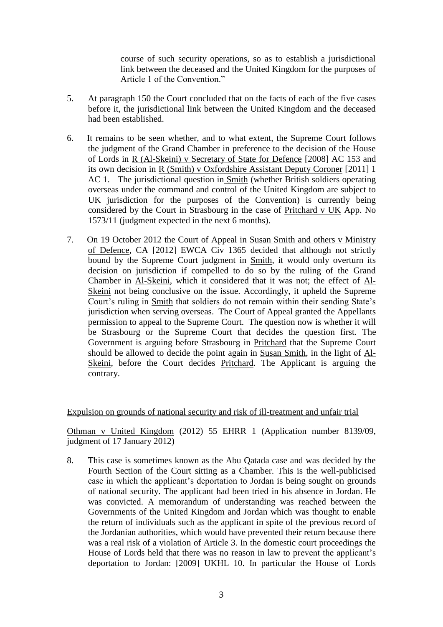course of such security operations, so as to establish a jurisdictional link between the deceased and the United Kingdom for the purposes of Article 1 of the Convention."

- 5. At paragraph 150 the Court concluded that on the facts of each of the five cases before it, the jurisdictional link between the United Kingdom and the deceased had been established.
- 6. It remains to be seen whether, and to what extent, the Supreme Court follows the judgment of the Grand Chamber in preference to the decision of the House of Lords in R (Al-Skeini) v Secretary of State for Defence [2008] AC 153 and its own decision in R (Smith) v Oxfordshire Assistant Deputy Coroner [2011] 1 AC 1. The jurisdictional question in Smith (whether British soldiers operating overseas under the command and control of the United Kingdom are subject to UK jurisdiction for the purposes of the Convention) is currently being considered by the Court in Strasbourg in the case of Pritchard v UK App. No 1573/11 (judgment expected in the next 6 months).
- 7. On 19 October 2012 the Court of Appeal in Susan Smith and others v Ministry of Defence, CA [2012] EWCA Civ 1365 decided that although not strictly bound by the Supreme Court judgment in Smith, it would only overturn its decision on jurisdiction if compelled to do so by the ruling of the Grand Chamber in Al-Skeini, which it considered that it was not; the effect of Al-Skeini not being conclusive on the issue. Accordingly, it upheld the Supreme Court's ruling in Smith that soldiers do not remain within their sending State's jurisdiction when serving overseas. The Court of Appeal granted the Appellants permission to appeal to the Supreme Court. The question now is whether it will be Strasbourg or the Supreme Court that decides the question first. The Government is arguing before Strasbourg in Pritchard that the Supreme Court should be allowed to decide the point again in Susan Smith, in the light of Al-Skeini, before the Court decides Pritchard. The Applicant is arguing the contrary.

#### Expulsion on grounds of national security and risk of ill-treatment and unfair trial

Othman v United Kingdom (2012) 55 EHRR 1 (Application number 8139/09, judgment of 17 January 2012)

8. This case is sometimes known as the Abu Qatada case and was decided by the Fourth Section of the Court sitting as a Chamber. This is the well-publicised case in which the applicant's deportation to Jordan is being sought on grounds of national security. The applicant had been tried in his absence in Jordan. He was convicted. A memorandum of understanding was reached between the Governments of the United Kingdom and Jordan which was thought to enable the return of individuals such as the applicant in spite of the previous record of the Jordanian authorities, which would have prevented their return because there was a real risk of a violation of Article 3. In the domestic court proceedings the House of Lords held that there was no reason in law to prevent the applicant's deportation to Jordan: [2009] UKHL 10. In particular the House of Lords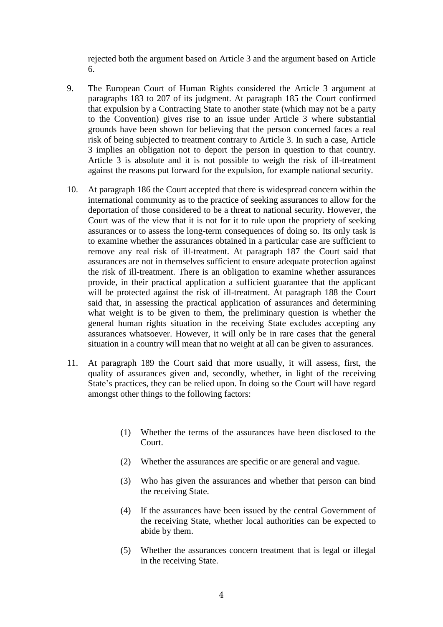rejected both the argument based on Article 3 and the argument based on Article 6.

- 9. The European Court of Human Rights considered the Article 3 argument at paragraphs 183 to 207 of its judgment. At paragraph 185 the Court confirmed that expulsion by a Contracting State to another state (which may not be a party to the Convention) gives rise to an issue under Article 3 where substantial grounds have been shown for believing that the person concerned faces a real risk of being subjected to treatment contrary to Article 3. In such a case, Article 3 implies an obligation not to deport the person in question to that country. Article 3 is absolute and it is not possible to weigh the risk of ill-treatment against the reasons put forward for the expulsion, for example national security.
- 10. At paragraph 186 the Court accepted that there is widespread concern within the international community as to the practice of seeking assurances to allow for the deportation of those considered to be a threat to national security. However, the Court was of the view that it is not for it to rule upon the propriety of seeking assurances or to assess the long-term consequences of doing so. Its only task is to examine whether the assurances obtained in a particular case are sufficient to remove any real risk of ill-treatment. At paragraph 187 the Court said that assurances are not in themselves sufficient to ensure adequate protection against the risk of ill-treatment. There is an obligation to examine whether assurances provide, in their practical application a sufficient guarantee that the applicant will be protected against the risk of ill-treatment. At paragraph 188 the Court said that, in assessing the practical application of assurances and determining what weight is to be given to them, the preliminary question is whether the general human rights situation in the receiving State excludes accepting any assurances whatsoever. However, it will only be in rare cases that the general situation in a country will mean that no weight at all can be given to assurances.
- 11. At paragraph 189 the Court said that more usually, it will assess, first, the quality of assurances given and, secondly, whether, in light of the receiving State's practices, they can be relied upon. In doing so the Court will have regard amongst other things to the following factors:
	- (1) Whether the terms of the assurances have been disclosed to the Court.
	- (2) Whether the assurances are specific or are general and vague.
	- (3) Who has given the assurances and whether that person can bind the receiving State.
	- (4) If the assurances have been issued by the central Government of the receiving State, whether local authorities can be expected to abide by them.
	- (5) Whether the assurances concern treatment that is legal or illegal in the receiving State.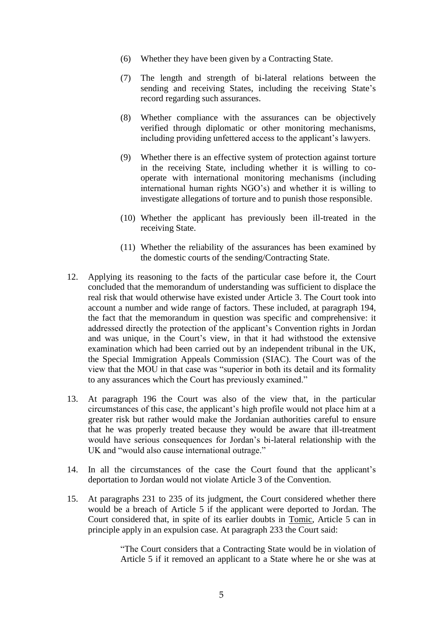- (6) Whether they have been given by a Contracting State.
- (7) The length and strength of bi-lateral relations between the sending and receiving States, including the receiving State's record regarding such assurances.
- (8) Whether compliance with the assurances can be objectively verified through diplomatic or other monitoring mechanisms, including providing unfettered access to the applicant's lawyers.
- (9) Whether there is an effective system of protection against torture in the receiving State, including whether it is willing to cooperate with international monitoring mechanisms (including international human rights NGO's) and whether it is willing to investigate allegations of torture and to punish those responsible.
- (10) Whether the applicant has previously been ill-treated in the receiving State.
- (11) Whether the reliability of the assurances has been examined by the domestic courts of the sending/Contracting State.
- 12. Applying its reasoning to the facts of the particular case before it, the Court concluded that the memorandum of understanding was sufficient to displace the real risk that would otherwise have existed under Article 3. The Court took into account a number and wide range of factors. These included, at paragraph 194, the fact that the memorandum in question was specific and comprehensive: it addressed directly the protection of the applicant's Convention rights in Jordan and was unique, in the Court's view, in that it had withstood the extensive examination which had been carried out by an independent tribunal in the UK, the Special Immigration Appeals Commission (SIAC). The Court was of the view that the MOU in that case was "superior in both its detail and its formality to any assurances which the Court has previously examined."
- 13. At paragraph 196 the Court was also of the view that, in the particular circumstances of this case, the applicant's high profile would not place him at a greater risk but rather would make the Jordanian authorities careful to ensure that he was properly treated because they would be aware that ill-treatment would have serious consequences for Jordan's bi-lateral relationship with the UK and "would also cause international outrage."
- 14. In all the circumstances of the case the Court found that the applicant's deportation to Jordan would not violate Article 3 of the Convention.
- 15. At paragraphs 231 to 235 of its judgment, the Court considered whether there would be a breach of Article 5 if the applicant were deported to Jordan. The Court considered that, in spite of its earlier doubts in Tomic, Article 5 can in principle apply in an expulsion case. At paragraph 233 the Court said:

"The Court considers that a Contracting State would be in violation of Article 5 if it removed an applicant to a State where he or she was at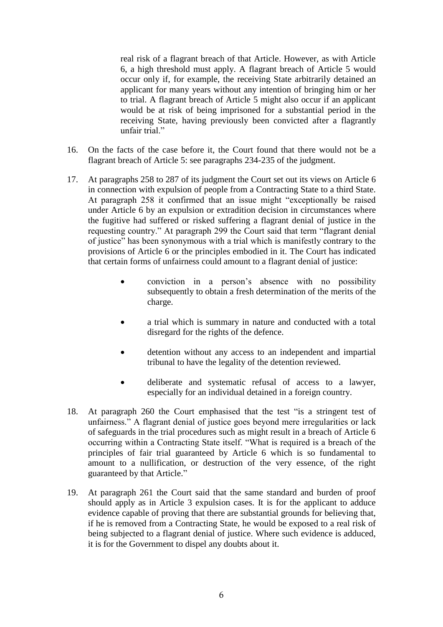real risk of a flagrant breach of that Article. However, as with Article 6, a high threshold must apply. A flagrant breach of Article 5 would occur only if, for example, the receiving State arbitrarily detained an applicant for many years without any intention of bringing him or her to trial. A flagrant breach of Article 5 might also occur if an applicant would be at risk of being imprisoned for a substantial period in the receiving State, having previously been convicted after a flagrantly unfair trial."

- 16. On the facts of the case before it, the Court found that there would not be a flagrant breach of Article 5: see paragraphs 234-235 of the judgment.
- 17. At paragraphs 258 to 287 of its judgment the Court set out its views on Article 6 in connection with expulsion of people from a Contracting State to a third State. At paragraph 258 it confirmed that an issue might "exceptionally be raised under Article 6 by an expulsion or extradition decision in circumstances where the fugitive had suffered or risked suffering a flagrant denial of justice in the requesting country." At paragraph 299 the Court said that term "flagrant denial of justice" has been synonymous with a trial which is manifestly contrary to the provisions of Article 6 or the principles embodied in it. The Court has indicated that certain forms of unfairness could amount to a flagrant denial of justice:
	- conviction in a person's absence with no possibility subsequently to obtain a fresh determination of the merits of the charge.
	- a trial which is summary in nature and conducted with a total disregard for the rights of the defence.
	- detention without any access to an independent and impartial tribunal to have the legality of the detention reviewed.
	- deliberate and systematic refusal of access to a lawyer, especially for an individual detained in a foreign country.
- 18. At paragraph 260 the Court emphasised that the test "is a stringent test of unfairness." A flagrant denial of justice goes beyond mere irregularities or lack of safeguards in the trial procedures such as might result in a breach of Article 6 occurring within a Contracting State itself. "What is required is a breach of the principles of fair trial guaranteed by Article 6 which is so fundamental to amount to a nullification, or destruction of the very essence, of the right guaranteed by that Article."
- 19. At paragraph 261 the Court said that the same standard and burden of proof should apply as in Article 3 expulsion cases. It is for the applicant to adduce evidence capable of proving that there are substantial grounds for believing that, if he is removed from a Contracting State, he would be exposed to a real risk of being subjected to a flagrant denial of justice. Where such evidence is adduced, it is for the Government to dispel any doubts about it.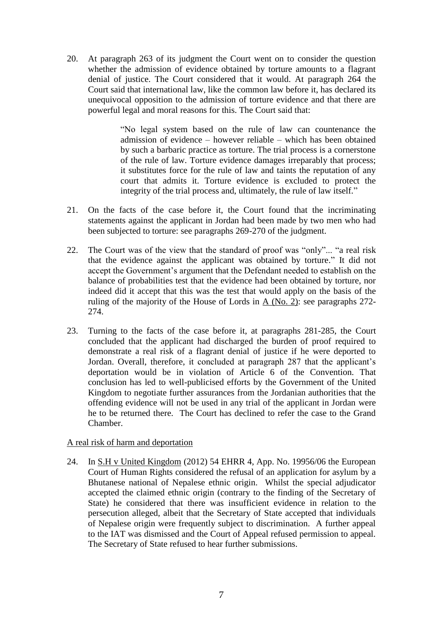20. At paragraph 263 of its judgment the Court went on to consider the question whether the admission of evidence obtained by torture amounts to a flagrant denial of justice. The Court considered that it would. At paragraph 264 the Court said that international law, like the common law before it, has declared its unequivocal opposition to the admission of torture evidence and that there are powerful legal and moral reasons for this. The Court said that:

> "No legal system based on the rule of law can countenance the admission of evidence – however reliable – which has been obtained by such a barbaric practice as torture. The trial process is a cornerstone of the rule of law. Torture evidence damages irreparably that process; it substitutes force for the rule of law and taints the reputation of any court that admits it. Torture evidence is excluded to protect the integrity of the trial process and, ultimately, the rule of law itself."

- 21. On the facts of the case before it, the Court found that the incriminating statements against the applicant in Jordan had been made by two men who had been subjected to torture: see paragraphs 269-270 of the judgment.
- 22. The Court was of the view that the standard of proof was "only"... "a real risk that the evidence against the applicant was obtained by torture." It did not accept the Government's argument that the Defendant needed to establish on the balance of probabilities test that the evidence had been obtained by torture, nor indeed did it accept that this was the test that would apply on the basis of the ruling of the majority of the House of Lords in  $A$  (No. 2): see paragraphs 272-274.
- 23. Turning to the facts of the case before it, at paragraphs 281-285, the Court concluded that the applicant had discharged the burden of proof required to demonstrate a real risk of a flagrant denial of justice if he were deported to Jordan. Overall, therefore, it concluded at paragraph 287 that the applicant's deportation would be in violation of Article 6 of the Convention. That conclusion has led to well-publicised efforts by the Government of the United Kingdom to negotiate further assurances from the Jordanian authorities that the offending evidence will not be used in any trial of the applicant in Jordan were he to be returned there. The Court has declined to refer the case to the Grand Chamber.

# A real risk of harm and deportation

24. In S.H v United Kingdom (2012) 54 EHRR 4, App. No. 19956/06 the European Court of Human Rights considered the refusal of an application for asylum by a Bhutanese national of Nepalese ethnic origin. Whilst the special adjudicator accepted the claimed ethnic origin (contrary to the finding of the Secretary of State) he considered that there was insufficient evidence in relation to the persecution alleged, albeit that the Secretary of State accepted that individuals of Nepalese origin were frequently subject to discrimination. A further appeal to the IAT was dismissed and the Court of Appeal refused permission to appeal. The Secretary of State refused to hear further submissions.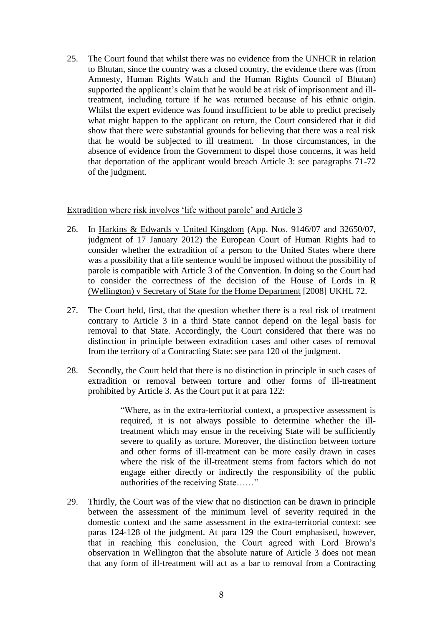25. The Court found that whilst there was no evidence from the UNHCR in relation to Bhutan, since the country was a closed country, the evidence there was (from Amnesty, Human Rights Watch and the Human Rights Council of Bhutan) supported the applicant's claim that he would be at risk of imprisonment and illtreatment, including torture if he was returned because of his ethnic origin. Whilst the expert evidence was found insufficient to be able to predict precisely what might happen to the applicant on return, the Court considered that it did show that there were substantial grounds for believing that there was a real risk that he would be subjected to ill treatment. In those circumstances, in the absence of evidence from the Government to dispel those concerns, it was held that deportation of the applicant would breach Article 3: see paragraphs 71-72 of the judgment.

#### Extradition where risk involves 'life without parole' and Article 3

- 26. In Harkins & Edwards v United Kingdom (App. Nos. 9146/07 and 32650/07, judgment of 17 January 2012) the European Court of Human Rights had to consider whether the extradition of a person to the United States where there was a possibility that a life sentence would be imposed without the possibility of parole is compatible with Article 3 of the Convention. In doing so the Court had to consider the correctness of the decision of the House of Lords in R (Wellington) v Secretary of State for the Home Department [2008] UKHL 72.
- 27. The Court held, first, that the question whether there is a real risk of treatment contrary to Article 3 in a third State cannot depend on the legal basis for removal to that State. Accordingly, the Court considered that there was no distinction in principle between extradition cases and other cases of removal from the territory of a Contracting State: see para 120 of the judgment.
- 28. Secondly, the Court held that there is no distinction in principle in such cases of extradition or removal between torture and other forms of ill-treatment prohibited by Article 3. As the Court put it at para 122:

"Where, as in the extra-territorial context, a prospective assessment is required, it is not always possible to determine whether the illtreatment which may ensue in the receiving State will be sufficiently severe to qualify as torture. Moreover, the distinction between torture and other forms of ill-treatment can be more easily drawn in cases where the risk of the ill-treatment stems from factors which do not engage either directly or indirectly the responsibility of the public authorities of the receiving State……"

29. Thirdly, the Court was of the view that no distinction can be drawn in principle between the assessment of the minimum level of severity required in the domestic context and the same assessment in the extra-territorial context: see paras 124-128 of the judgment. At para 129 the Court emphasised, however, that in reaching this conclusion, the Court agreed with Lord Brown's observation in Wellington that the absolute nature of Article 3 does not mean that any form of ill-treatment will act as a bar to removal from a Contracting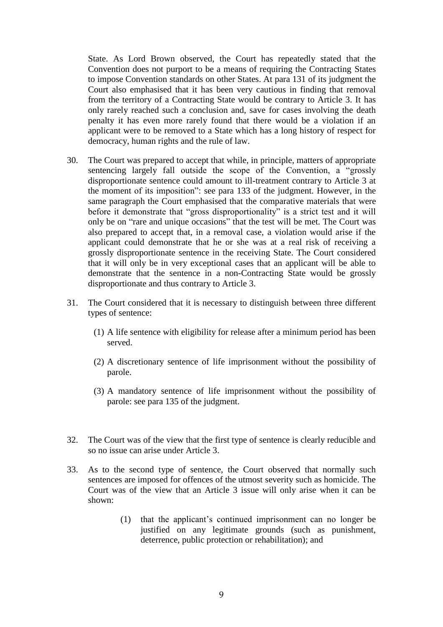State. As Lord Brown observed, the Court has repeatedly stated that the Convention does not purport to be a means of requiring the Contracting States to impose Convention standards on other States. At para 131 of its judgment the Court also emphasised that it has been very cautious in finding that removal from the territory of a Contracting State would be contrary to Article 3. It has only rarely reached such a conclusion and, save for cases involving the death penalty it has even more rarely found that there would be a violation if an applicant were to be removed to a State which has a long history of respect for democracy, human rights and the rule of law.

- 30. The Court was prepared to accept that while, in principle, matters of appropriate sentencing largely fall outside the scope of the Convention, a "grossly disproportionate sentence could amount to ill-treatment contrary to Article 3 at the moment of its imposition": see para 133 of the judgment. However, in the same paragraph the Court emphasised that the comparative materials that were before it demonstrate that "gross disproportionality" is a strict test and it will only be on "rare and unique occasions" that the test will be met. The Court was also prepared to accept that, in a removal case, a violation would arise if the applicant could demonstrate that he or she was at a real risk of receiving a grossly disproportionate sentence in the receiving State. The Court considered that it will only be in very exceptional cases that an applicant will be able to demonstrate that the sentence in a non-Contracting State would be grossly disproportionate and thus contrary to Article 3.
- 31. The Court considered that it is necessary to distinguish between three different types of sentence:
	- (1) A life sentence with eligibility for release after a minimum period has been served.
	- (2) A discretionary sentence of life imprisonment without the possibility of parole.
	- (3) A mandatory sentence of life imprisonment without the possibility of parole: see para 135 of the judgment.
- 32. The Court was of the view that the first type of sentence is clearly reducible and so no issue can arise under Article 3.
- 33. As to the second type of sentence, the Court observed that normally such sentences are imposed for offences of the utmost severity such as homicide. The Court was of the view that an Article 3 issue will only arise when it can be shown:
	- (1) that the applicant's continued imprisonment can no longer be justified on any legitimate grounds (such as punishment, deterrence, public protection or rehabilitation); and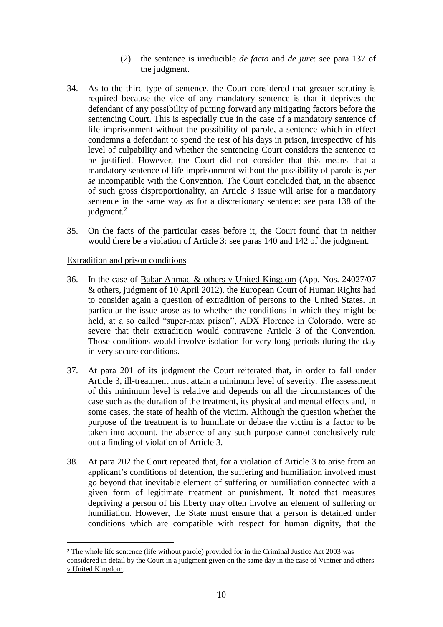- (2) the sentence is irreducible *de facto* and *de jure*: see para 137 of the judgment.
- 34. As to the third type of sentence, the Court considered that greater scrutiny is required because the vice of any mandatory sentence is that it deprives the defendant of any possibility of putting forward any mitigating factors before the sentencing Court. This is especially true in the case of a mandatory sentence of life imprisonment without the possibility of parole, a sentence which in effect condemns a defendant to spend the rest of his days in prison, irrespective of his level of culpability and whether the sentencing Court considers the sentence to be justified. However, the Court did not consider that this means that a mandatory sentence of life imprisonment without the possibility of parole is *per se* incompatible with the Convention. The Court concluded that, in the absence of such gross disproportionality, an Article 3 issue will arise for a mandatory sentence in the same way as for a discretionary sentence: see para 138 of the judgment.<sup>2</sup>
- 35. On the facts of the particular cases before it, the Court found that in neither would there be a violation of Article 3: see paras 140 and 142 of the judgment.

### Extradition and prison conditions

<u>.</u>

- 36. In the case of Babar Ahmad & others v United Kingdom (App. Nos. 24027/07 & others, judgment of 10 April 2012), the European Court of Human Rights had to consider again a question of extradition of persons to the United States. In particular the issue arose as to whether the conditions in which they might be held, at a so called "super-max prison", ADX Florence in Colorado, were so severe that their extradition would contravene Article 3 of the Convention. Those conditions would involve isolation for very long periods during the day in very secure conditions.
- 37. At para 201 of its judgment the Court reiterated that, in order to fall under Article 3, ill-treatment must attain a minimum level of severity. The assessment of this minimum level is relative and depends on all the circumstances of the case such as the duration of the treatment, its physical and mental effects and, in some cases, the state of health of the victim. Although the question whether the purpose of the treatment is to humiliate or debase the victim is a factor to be taken into account, the absence of any such purpose cannot conclusively rule out a finding of violation of Article 3.
- 38. At para 202 the Court repeated that, for a violation of Article 3 to arise from an applicant's conditions of detention, the suffering and humiliation involved must go beyond that inevitable element of suffering or humiliation connected with a given form of legitimate treatment or punishment. It noted that measures depriving a person of his liberty may often involve an element of suffering or humiliation. However, the State must ensure that a person is detained under conditions which are compatible with respect for human dignity, that the

<sup>2</sup> The whole life sentence (life without parole) provided for in the Criminal Justice Act 2003 was considered in detail by the Court in a judgment given on the same day in the case of Vintner and others v United Kingdom.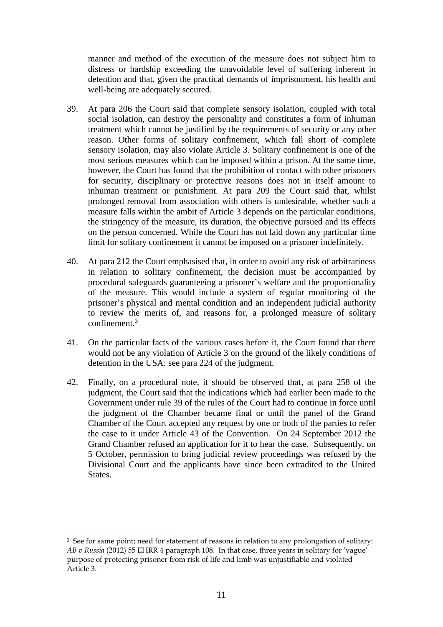manner and method of the execution of the measure does not subject him to distress or hardship exceeding the unavoidable level of suffering inherent in detention and that, given the practical demands of imprisonment, his health and well-being are adequately secured.

- 39. At para 206 the Court said that complete sensory isolation, coupled with total social isolation, can destroy the personality and constitutes a form of inhuman treatment which cannot be justified by the requirements of security or any other reason. Other forms of solitary confinement, which fall short of complete sensory isolation, may also violate Article 3. Solitary confinement is one of the most serious measures which can be imposed within a prison. At the same time, however, the Court has found that the prohibition of contact with other prisoners for security, disciplinary or protective reasons does not in itself amount to inhuman treatment or punishment. At para 209 the Court said that, whilst prolonged removal from association with others is undesirable, whether such a measure falls within the ambit of Article 3 depends on the particular conditions, the stringency of the measure, its duration, the objective pursued and its effects on the person concerned. While the Court has not laid down any particular time limit for solitary confinement it cannot be imposed on a prisoner indefinitely.
- 40. At para 212 the Court emphasised that, in order to avoid any risk of arbitrariness in relation to solitary confinement, the decision must be accompanied by procedural safeguards guaranteeing a prisoner's welfare and the proportionality of the measure. This would include a system of regular monitoring of the prisoner's physical and mental condition and an independent judicial authority to review the merits of, and reasons for, a prolonged measure of solitary  $\text{confinement}^3$
- 41. On the particular facts of the various cases before it, the Court found that there would not be any violation of Article 3 on the ground of the likely conditions of detention in the USA: see para 224 of the judgment.
- 42. Finally, on a procedural note, it should be observed that, at para 258 of the judgment, the Court said that the indications which had earlier been made to the Government under rule 39 of the rules of the Court had to continue in force until the judgment of the Chamber became final or until the panel of the Grand Chamber of the Court accepted any request by one or both of the parties to refer the case to it under Article 43 of the Convention. On 24 September 2012 the Grand Chamber refused an application for it to hear the case. Subsequently, on 5 October, permission to bring judicial review proceedings was refused by the Divisional Court and the applicants have since been extradited to the United States.

<u>.</u>

<sup>&</sup>lt;sup>3</sup> See for same point; need for statement of reasons in relation to any prolongation of solitary: *AB v Russia* (2012) 55 EHRR 4 paragraph 108. In that case, three years in solitary for 'vague' purpose of protecting prisoner from risk of life and limb was unjustifiable and violated Article 3.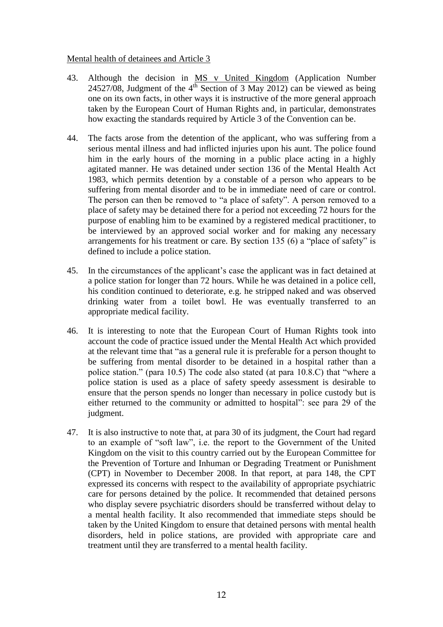### Mental health of detainees and Article 3

- 43. Although the decision in MS v United Kingdom (Application Number 24527/08, Judgment of the  $4<sup>th</sup>$  Section of 3 May 2012) can be viewed as being one on its own facts, in other ways it is instructive of the more general approach taken by the European Court of Human Rights and, in particular, demonstrates how exacting the standards required by Article 3 of the Convention can be.
- 44. The facts arose from the detention of the applicant, who was suffering from a serious mental illness and had inflicted injuries upon his aunt. The police found him in the early hours of the morning in a public place acting in a highly agitated manner. He was detained under section 136 of the Mental Health Act 1983, which permits detention by a constable of a person who appears to be suffering from mental disorder and to be in immediate need of care or control. The person can then be removed to "a place of safety". A person removed to a place of safety may be detained there for a period not exceeding 72 hours for the purpose of enabling him to be examined by a registered medical practitioner, to be interviewed by an approved social worker and for making any necessary arrangements for his treatment or care. By section 135 (6) a "place of safety" is defined to include a police station.
- 45. In the circumstances of the applicant's case the applicant was in fact detained at a police station for longer than 72 hours. While he was detained in a police cell, his condition continued to deteriorate, e.g. he stripped naked and was observed drinking water from a toilet bowl. He was eventually transferred to an appropriate medical facility.
- 46. It is interesting to note that the European Court of Human Rights took into account the code of practice issued under the Mental Health Act which provided at the relevant time that "as a general rule it is preferable for a person thought to be suffering from mental disorder to be detained in a hospital rather than a police station." (para 10.5) The code also stated (at para 10.8.C) that "where a police station is used as a place of safety speedy assessment is desirable to ensure that the person spends no longer than necessary in police custody but is either returned to the community or admitted to hospital": see para 29 of the judgment.
- 47. It is also instructive to note that, at para 30 of its judgment, the Court had regard to an example of "soft law", i.e. the report to the Government of the United Kingdom on the visit to this country carried out by the European Committee for the Prevention of Torture and Inhuman or Degrading Treatment or Punishment (CPT) in November to December 2008. In that report, at para 148, the CPT expressed its concerns with respect to the availability of appropriate psychiatric care for persons detained by the police. It recommended that detained persons who display severe psychiatric disorders should be transferred without delay to a mental health facility. It also recommended that immediate steps should be taken by the United Kingdom to ensure that detained persons with mental health disorders, held in police stations, are provided with appropriate care and treatment until they are transferred to a mental health facility.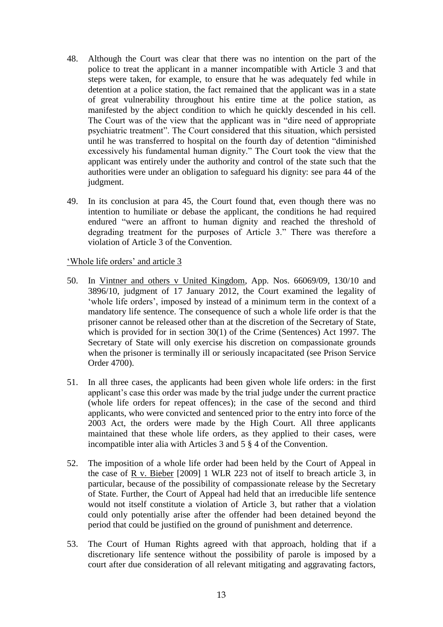- 48. Although the Court was clear that there was no intention on the part of the police to treat the applicant in a manner incompatible with Article 3 and that steps were taken, for example, to ensure that he was adequately fed while in detention at a police station, the fact remained that the applicant was in a state of great vulnerability throughout his entire time at the police station, as manifested by the abject condition to which he quickly descended in his cell. The Court was of the view that the applicant was in "dire need of appropriate psychiatric treatment". The Court considered that this situation, which persisted until he was transferred to hospital on the fourth day of detention "diminished excessively his fundamental human dignity." The Court took the view that the applicant was entirely under the authority and control of the state such that the authorities were under an obligation to safeguard his dignity: see para 44 of the judgment.
- 49. In its conclusion at para 45, the Court found that, even though there was no intention to humiliate or debase the applicant, the conditions he had required endured "were an affront to human dignity and reached the threshold of degrading treatment for the purposes of Article 3." There was therefore a violation of Article 3 of the Convention.

# 'Whole life orders' and article 3

- 50. In Vintner and others v United Kingdom, App. Nos. 66069/09, 130/10 and 3896/10, judgment of 17 January 2012, the Court examined the legality of 'whole life orders', imposed by instead of a minimum term in the context of a mandatory life sentence. The consequence of such a whole life order is that the prisoner cannot be released other than at the discretion of the Secretary of State, which is provided for in section 30(1) of the Crime (Sentences) Act 1997. The Secretary of State will only exercise his discretion on compassionate grounds when the prisoner is terminally ill or seriously incapacitated (see Prison Service Order 4700).
- 51. In all three cases, the applicants had been given whole life orders: in the first applicant's case this order was made by the trial judge under the current practice (whole life orders for repeat offences); in the case of the second and third applicants, who were convicted and sentenced prior to the entry into force of the 2003 Act, the orders were made by the High Court. All three applicants maintained that these whole life orders, as they applied to their cases, were incompatible inter alia with Articles 3 and 5 § 4 of the Convention.
- 52. The imposition of a whole life order had been held by the Court of Appeal in the case of R v. Bieber [2009] 1 WLR 223 not of itself to breach article 3, in particular, because of the possibility of compassionate release by the Secretary of State. Further, the Court of Appeal had held that an irreducible life sentence would not itself constitute a violation of Article 3, but rather that a violation could only potentially arise after the offender had been detained beyond the period that could be justified on the ground of punishment and deterrence.
- 53. The Court of Human Rights agreed with that approach, holding that if a discretionary life sentence without the possibility of parole is imposed by a court after due consideration of all relevant mitigating and aggravating factors,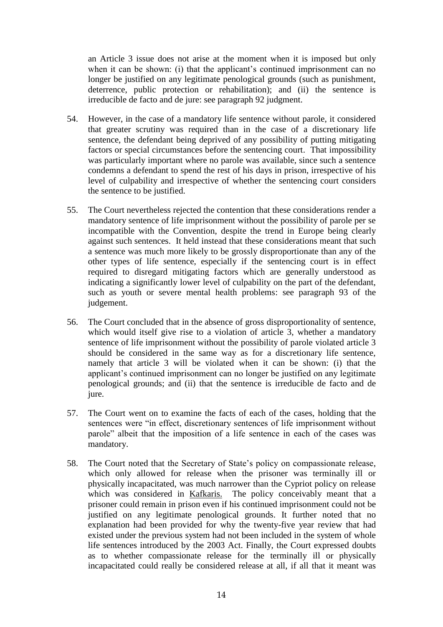an Article 3 issue does not arise at the moment when it is imposed but only when it can be shown: (i) that the applicant's continued imprisonment can no longer be justified on any legitimate penological grounds (such as punishment, deterrence, public protection or rehabilitation); and (ii) the sentence is irreducible de facto and de jure: see paragraph 92 judgment.

- 54. However, in the case of a mandatory life sentence without parole, it considered that greater scrutiny was required than in the case of a discretionary life sentence, the defendant being deprived of any possibility of putting mitigating factors or special circumstances before the sentencing court. That impossibility was particularly important where no parole was available, since such a sentence condemns a defendant to spend the rest of his days in prison, irrespective of his level of culpability and irrespective of whether the sentencing court considers the sentence to be justified.
- 55. The Court nevertheless rejected the contention that these considerations render a mandatory sentence of life imprisonment without the possibility of parole per se incompatible with the Convention, despite the trend in Europe being clearly against such sentences. It held instead that these considerations meant that such a sentence was much more likely to be grossly disproportionate than any of the other types of life sentence, especially if the sentencing court is in effect required to disregard mitigating factors which are generally understood as indicating a significantly lower level of culpability on the part of the defendant, such as youth or severe mental health problems: see paragraph 93 of the judgement.
- 56. The Court concluded that in the absence of gross disproportionality of sentence, which would itself give rise to a violation of article 3, whether a mandatory sentence of life imprisonment without the possibility of parole violated article 3 should be considered in the same way as for a discretionary life sentence, namely that article 3 will be violated when it can be shown: (i) that the applicant's continued imprisonment can no longer be justified on any legitimate penological grounds; and (ii) that the sentence is irreducible de facto and de jure.
- 57. The Court went on to examine the facts of each of the cases, holding that the sentences were "in effect, discretionary sentences of life imprisonment without parole" albeit that the imposition of a life sentence in each of the cases was mandatory.
- 58. The Court noted that the Secretary of State's policy on compassionate release, which only allowed for release when the prisoner was terminally ill or physically incapacitated, was much narrower than the Cypriot policy on release which was considered in Kafkaris. The policy conceivably meant that a prisoner could remain in prison even if his continued imprisonment could not be justified on any legitimate penological grounds. It further noted that no explanation had been provided for why the twenty-five year review that had existed under the previous system had not been included in the system of whole life sentences introduced by the 2003 Act. Finally, the Court expressed doubts as to whether compassionate release for the terminally ill or physically incapacitated could really be considered release at all, if all that it meant was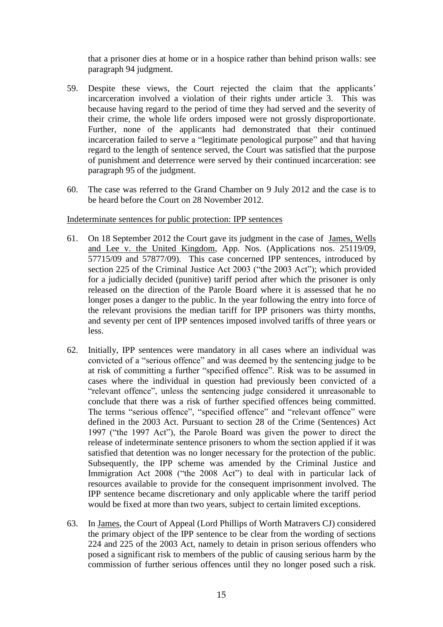that a prisoner dies at home or in a hospice rather than behind prison walls: see paragraph 94 judgment.

- 59. Despite these views, the Court rejected the claim that the applicants' incarceration involved a violation of their rights under article 3. This was because having regard to the period of time they had served and the severity of their crime, the whole life orders imposed were not grossly disproportionate. Further, none of the applicants had demonstrated that their continued incarceration failed to serve a "legitimate penological purpose" and that having regard to the length of sentence served, the Court was satisfied that the purpose of punishment and deterrence were served by their continued incarceration: see paragraph 95 of the judgment.
- 60. The case was referred to the Grand Chamber on 9 July 2012 and the case is to be heard before the Court on 28 November 2012.

### Indeterminate sentences for public protection: IPP sentences

- 61. On 18 September 2012 the Court gave its judgment in the case of James, Wells and Lee v. the United Kingdom, App. Nos. (Applications nos. 25119/09, 57715/09 and 57877/09). This case concerned IPP sentences, introduced by section 225 of the Criminal Justice Act 2003 ("the 2003 Act"); which provided for a judicially decided (punitive) tariff period after which the prisoner is only released on the direction of the Parole Board where it is assessed that he no longer poses a danger to the public. In the year following the entry into force of the relevant provisions the median tariff for IPP prisoners was thirty months, and seventy per cent of IPP sentences imposed involved tariffs of three years or less.
- 62. Initially, IPP sentences were mandatory in all cases where an individual was convicted of a "serious offence" and was deemed by the sentencing judge to be at risk of committing a further "specified offence". Risk was to be assumed in cases where the individual in question had previously been convicted of a "relevant offence", unless the sentencing judge considered it unreasonable to conclude that there was a risk of further specified offences being committed. The terms "serious offence", "specified offence" and "relevant offence" were defined in the 2003 Act. Pursuant to section 28 of the Crime (Sentences) Act 1997 ("the 1997 Act"), the Parole Board was given the power to direct the release of indeterminate sentence prisoners to whom the section applied if it was satisfied that detention was no longer necessary for the protection of the public. Subsequently, the IPP scheme was amended by the Criminal Justice and Immigration Act 2008 ("the 2008 Act") to deal with in particular lack of resources available to provide for the consequent imprisonment involved. The IPP sentence became discretionary and only applicable where the tariff period would be fixed at more than two years, subject to certain limited exceptions.
- 63. In James, the Court of Appeal (Lord Phillips of Worth Matravers CJ) considered the primary object of the IPP sentence to be clear from the wording of sections 224 and 225 of the 2003 Act, namely to detain in prison serious offenders who posed a significant risk to members of the public of causing serious harm by the commission of further serious offences until they no longer posed such a risk.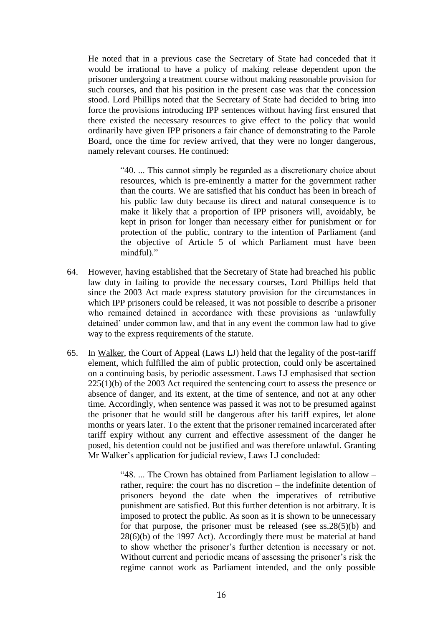He noted that in a previous case the Secretary of State had conceded that it would be irrational to have a policy of making release dependent upon the prisoner undergoing a treatment course without making reasonable provision for such courses, and that his position in the present case was that the concession stood. Lord Phillips noted that the Secretary of State had decided to bring into force the provisions introducing IPP sentences without having first ensured that there existed the necessary resources to give effect to the policy that would ordinarily have given IPP prisoners a fair chance of demonstrating to the Parole Board, once the time for review arrived, that they were no longer dangerous, namely relevant courses. He continued:

> "40. ... This cannot simply be regarded as a discretionary choice about resources, which is pre-eminently a matter for the government rather than the courts. We are satisfied that his conduct has been in breach of his public law duty because its direct and natural consequence is to make it likely that a proportion of IPP prisoners will, avoidably, be kept in prison for longer than necessary either for punishment or for protection of the public, contrary to the intention of Parliament (and the objective of Article 5 of which Parliament must have been mindful)."

- 64. However, having established that the Secretary of State had breached his public law duty in failing to provide the necessary courses, Lord Phillips held that since the 2003 Act made express statutory provision for the circumstances in which IPP prisoners could be released, it was not possible to describe a prisoner who remained detained in accordance with these provisions as 'unlawfully detained' under common law, and that in any event the common law had to give way to the express requirements of the statute.
- 65. In Walker, the Court of Appeal (Laws LJ) held that the legality of the post-tariff element, which fulfilled the aim of public protection, could only be ascertained on a continuing basis, by periodic assessment. Laws LJ emphasised that section  $225(1)(b)$  of the 2003 Act required the sentencing court to assess the presence or absence of danger, and its extent, at the time of sentence, and not at any other time. Accordingly, when sentence was passed it was not to be presumed against the prisoner that he would still be dangerous after his tariff expires, let alone months or years later. To the extent that the prisoner remained incarcerated after tariff expiry without any current and effective assessment of the danger he posed, his detention could not be justified and was therefore unlawful. Granting Mr Walker's application for judicial review, Laws LJ concluded:

"48. ... The Crown has obtained from Parliament legislation to allow – rather, require: the court has no discretion – the indefinite detention of prisoners beyond the date when the imperatives of retributive punishment are satisfied. But this further detention is not arbitrary. It is imposed to protect the public. As soon as it is shown to be unnecessary for that purpose, the prisoner must be released (see  $ss.28(5)(b)$  and  $28(6)(b)$  of the 1997 Act). Accordingly there must be material at hand to show whether the prisoner's further detention is necessary or not. Without current and periodic means of assessing the prisoner's risk the regime cannot work as Parliament intended, and the only possible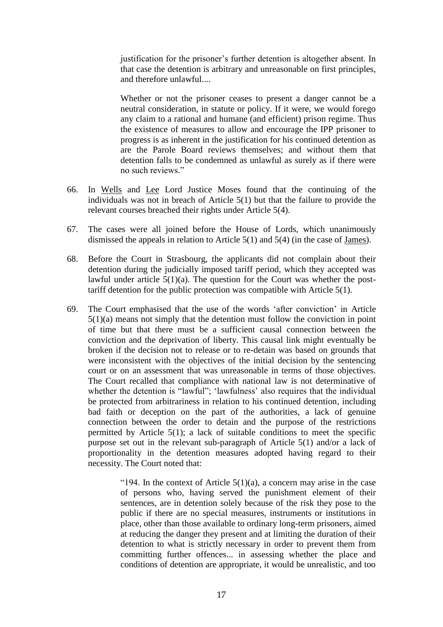justification for the prisoner's further detention is altogether absent. In that case the detention is arbitrary and unreasonable on first principles, and therefore unlawful...

Whether or not the prisoner ceases to present a danger cannot be a neutral consideration, in statute or policy. If it were, we would forego any claim to a rational and humane (and efficient) prison regime. Thus the existence of measures to allow and encourage the IPP prisoner to progress is as inherent in the justification for his continued detention as are the Parole Board reviews themselves; and without them that detention falls to be condemned as unlawful as surely as if there were no such reviews."

- 66. In Wells and Lee Lord Justice Moses found that the continuing of the individuals was not in breach of Article 5(1) but that the failure to provide the relevant courses breached their rights under Article 5(4).
- 67. The cases were all joined before the House of Lords, which unanimously dismissed the appeals in relation to Article 5(1) and 5(4) (in the case of James).
- 68. Before the Court in Strasbourg, the applicants did not complain about their detention during the judicially imposed tariff period, which they accepted was lawful under article  $5(1)(a)$ . The question for the Court was whether the posttariff detention for the public protection was compatible with Article 5(1).
- 69. The Court emphasised that the use of the words 'after conviction' in Article 5(1)(a) means not simply that the detention must follow the conviction in point of time but that there must be a sufficient causal connection between the conviction and the deprivation of liberty. This causal link might eventually be broken if the decision not to release or to re-detain was based on grounds that were inconsistent with the objectives of the initial decision by the sentencing court or on an assessment that was unreasonable in terms of those objectives. The Court recalled that compliance with national law is not determinative of whether the detention is "lawful"; 'lawfulness' also requires that the individual be protected from arbitrariness in relation to his continued detention, including bad faith or deception on the part of the authorities, a lack of genuine connection between the order to detain and the purpose of the restrictions permitted by Article  $5(1)$ ; a lack of suitable conditions to meet the specific purpose set out in the relevant sub-paragraph of Article 5(1) and/or a lack of proportionality in the detention measures adopted having regard to their necessity. The Court noted that:

"194. In the context of Article  $5(1)(a)$ , a concern may arise in the case of persons who, having served the punishment element of their sentences, are in detention solely because of the risk they pose to the public if there are no special measures, instruments or institutions in place, other than those available to ordinary long-term prisoners, aimed at reducing the danger they present and at limiting the duration of their detention to what is strictly necessary in order to prevent them from committing further offences... in assessing whether the place and conditions of detention are appropriate, it would be unrealistic, and too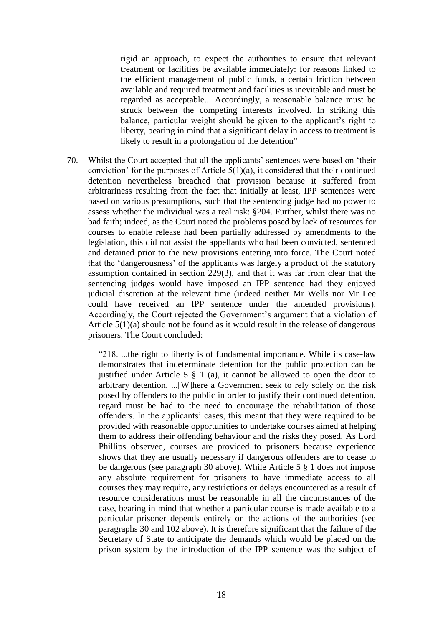rigid an approach, to expect the authorities to ensure that relevant treatment or facilities be available immediately: for reasons linked to the efficient management of public funds, a certain friction between available and required treatment and facilities is inevitable and must be regarded as acceptable... Accordingly, a reasonable balance must be struck between the competing interests involved. In striking this balance, particular weight should be given to the applicant's right to liberty, bearing in mind that a significant delay in access to treatment is likely to result in a prolongation of the detention"

70. Whilst the Court accepted that all the applicants' sentences were based on 'their conviction' for the purposes of Article  $5(1)(a)$ , it considered that their continued detention nevertheless breached that provision because it suffered from arbitrariness resulting from the fact that initially at least, IPP sentences were based on various presumptions, such that the sentencing judge had no power to assess whether the individual was a real risk: §204. Further, whilst there was no bad faith; indeed, as the Court noted the problems posed by lack of resources for courses to enable release had been partially addressed by amendments to the legislation, this did not assist the appellants who had been convicted, sentenced and detained prior to the new provisions entering into force. The Court noted that the 'dangerousness' of the applicants was largely a product of the statutory assumption contained in section 229(3), and that it was far from clear that the sentencing judges would have imposed an IPP sentence had they enjoyed judicial discretion at the relevant time (indeed neither Mr Wells nor Mr Lee could have received an IPP sentence under the amended provisions). Accordingly, the Court rejected the Government's argument that a violation of Article 5(1)(a) should not be found as it would result in the release of dangerous prisoners. The Court concluded:

"218. ...the right to liberty is of fundamental importance. While its case-law demonstrates that indeterminate detention for the public protection can be justified under Article 5  $\S$  1 (a), it cannot be allowed to open the door to arbitrary detention. ...[W]here a Government seek to rely solely on the risk posed by offenders to the public in order to justify their continued detention, regard must be had to the need to encourage the rehabilitation of those offenders. In the applicants' cases, this meant that they were required to be provided with reasonable opportunities to undertake courses aimed at helping them to address their offending behaviour and the risks they posed. As Lord Phillips observed, courses are provided to prisoners because experience shows that they are usually necessary if dangerous offenders are to cease to be dangerous (see paragraph 30 above). While Article 5 § 1 does not impose any absolute requirement for prisoners to have immediate access to all courses they may require, any restrictions or delays encountered as a result of resource considerations must be reasonable in all the circumstances of the case, bearing in mind that whether a particular course is made available to a particular prisoner depends entirely on the actions of the authorities (see paragraphs 30 and 102 above). It is therefore significant that the failure of the Secretary of State to anticipate the demands which would be placed on the prison system by the introduction of the IPP sentence was the subject of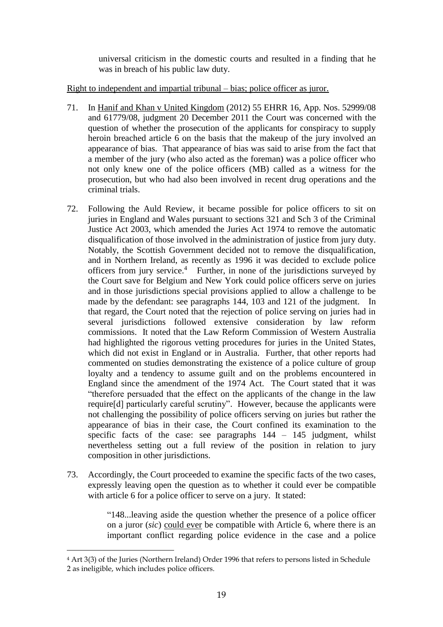universal criticism in the domestic courts and resulted in a finding that he was in breach of his public law duty.

# Right to independent and impartial tribunal – bias; police officer as juror.

- 71. In Hanif and Khan v United Kingdom (2012) 55 EHRR 16, App. Nos. 52999/08 and 61779/08, judgment 20 December 2011 the Court was concerned with the question of whether the prosecution of the applicants for conspiracy to supply heroin breached article 6 on the basis that the makeup of the jury involved an appearance of bias. That appearance of bias was said to arise from the fact that a member of the jury (who also acted as the foreman) was a police officer who not only knew one of the police officers (MB) called as a witness for the prosecution, but who had also been involved in recent drug operations and the criminal trials.
- 72. Following the Auld Review, it became possible for police officers to sit on juries in England and Wales pursuant to sections 321 and Sch 3 of the Criminal Justice Act 2003, which amended the Juries Act 1974 to remove the automatic disqualification of those involved in the administration of justice from jury duty. Notably, the Scottish Government decided not to remove the disqualification, and in Northern Ireland, as recently as 1996 it was decided to exclude police officers from jury service.<sup>4</sup> Further, in none of the jurisdictions surveyed by the Court save for Belgium and New York could police officers serve on juries and in those jurisdictions special provisions applied to allow a challenge to be made by the defendant: see paragraphs 144, 103 and 121 of the judgment. In that regard, the Court noted that the rejection of police serving on juries had in several jurisdictions followed extensive consideration by law reform commissions. It noted that the Law Reform Commission of Western Australia had highlighted the rigorous vetting procedures for juries in the United States, which did not exist in England or in Australia. Further, that other reports had commented on studies demonstrating the existence of a police culture of group loyalty and a tendency to assume guilt and on the problems encountered in England since the amendment of the 1974 Act. The Court stated that it was "therefore persuaded that the effect on the applicants of the change in the law require[d] particularly careful scrutiny". However, because the applicants were not challenging the possibility of police officers serving on juries but rather the appearance of bias in their case, the Court confined its examination to the specific facts of the case: see paragraphs  $144 - 145$  judgment, whilst nevertheless setting out a full review of the position in relation to jury composition in other jurisdictions.
- 73. Accordingly, the Court proceeded to examine the specific facts of the two cases, expressly leaving open the question as to whether it could ever be compatible with article 6 for a police officer to serve on a jury. It stated:

"148...leaving aside the question whether the presence of a police officer on a juror (*sic*) could ever be compatible with Article 6, where there is an important conflict regarding police evidence in the case and a police

-

<sup>4</sup> Art 3(3) of the Juries (Northern Ireland) Order 1996 that refers to persons listed in Schedule 2 as ineligible, which includes police officers.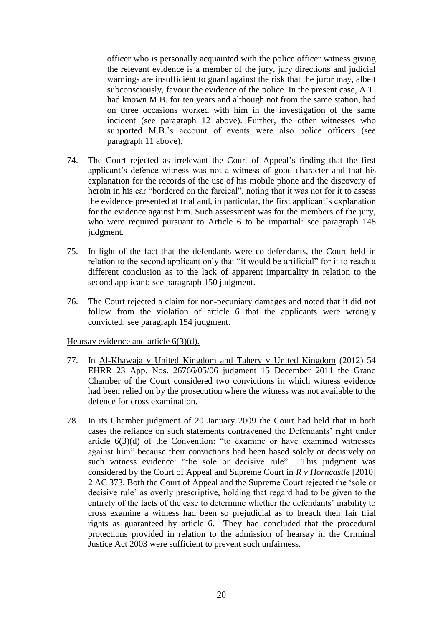officer who is personally acquainted with the police officer witness giving the relevant evidence is a member of the jury, jury directions and judicial warnings are insufficient to guard against the risk that the juror may, albeit subconsciously, favour the evidence of the police. In the present case, A.T. had known M.B. for ten years and although not from the same station, had on three occasions worked with him in the investigation of the same incident (see paragraph 12 above). Further, the other witnesses who supported M.B.'s account of events were also police officers (see paragraph 11 above).

- 74. The Court rejected as irrelevant the Court of Appeal's finding that the first applicant's defence witness was not a witness of good character and that his explanation for the records of the use of his mobile phone and the discovery of heroin in his car "bordered on the farcical", noting that it was not for it to assess the evidence presented at trial and, in particular, the first applicant's explanation for the evidence against him. Such assessment was for the members of the jury, who were required pursuant to Article 6 to be impartial: see paragraph 148 judgment.
- 75. In light of the fact that the defendants were co-defendants, the Court held in relation to the second applicant only that "it would be artificial" for it to reach a different conclusion as to the lack of apparent impartiality in relation to the second applicant: see paragraph 150 judgment.
- 76. The Court rejected a claim for non-pecuniary damages and noted that it did not follow from the violation of article 6 that the applicants were wrongly convicted: see paragraph 154 judgment.

Hearsay evidence and article 6(3)(d).

- 77. In Al-Khawaja v United Kingdom and Tahery v United Kingdom (2012) 54 EHRR 23 App. Nos. 26766/05/06 judgment 15 December 2011 the Grand Chamber of the Court considered two convictions in which witness evidence had been relied on by the prosecution where the witness was not available to the defence for cross examination.
- 78. In its Chamber judgment of 20 January 2009 the Court had held that in both cases the reliance on such statements contravened the Defendants' right under article 6(3)(d) of the Convention: "to examine or have examined witnesses against him" because their convictions had been based solely or decisively on such witness evidence: "the sole or decisive rule". This judgment was considered by the Court of Appeal and Supreme Court in *R v Horncastle* [2010] 2 AC 373. Both the Court of Appeal and the Supreme Court rejected the 'sole or decisive rule' as overly prescriptive, holding that regard had to be given to the entirety of the facts of the case to determine whether the defendants' inability to cross examine a witness had been so prejudicial as to breach their fair trial rights as guaranteed by article 6. They had concluded that the procedural protections provided in relation to the admission of hearsay in the Criminal Justice Act 2003 were sufficient to prevent such unfairness.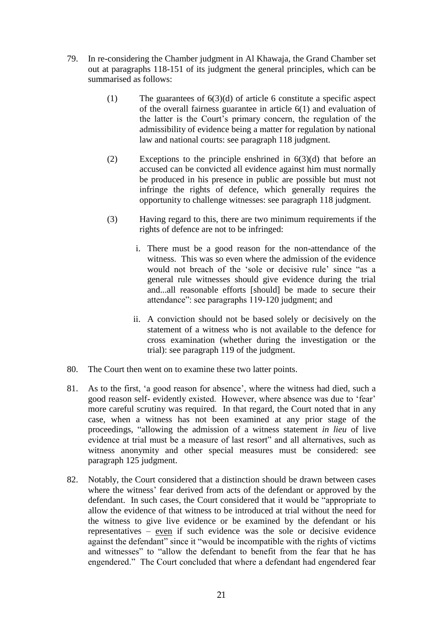- 79. In re-considering the Chamber judgment in Al Khawaja, the Grand Chamber set out at paragraphs 118-151 of its judgment the general principles, which can be summarised as follows:
	- (1) The guarantees of  $6(3)(d)$  of article 6 constitute a specific aspect of the overall fairness guarantee in article 6(1) and evaluation of the latter is the Court's primary concern, the regulation of the admissibility of evidence being a matter for regulation by national law and national courts: see paragraph 118 judgment.
	- (2) Exceptions to the principle enshrined in 6(3)(d) that before an accused can be convicted all evidence against him must normally be produced in his presence in public are possible but must not infringe the rights of defence, which generally requires the opportunity to challenge witnesses: see paragraph 118 judgment.
	- (3) Having regard to this, there are two minimum requirements if the rights of defence are not to be infringed:
		- i. There must be a good reason for the non-attendance of the witness. This was so even where the admission of the evidence would not breach of the 'sole or decisive rule' since "as a general rule witnesses should give evidence during the trial and...all reasonable efforts [should] be made to secure their attendance": see paragraphs 119-120 judgment; and
		- ii. A conviction should not be based solely or decisively on the statement of a witness who is not available to the defence for cross examination (whether during the investigation or the trial): see paragraph 119 of the judgment.
- 80. The Court then went on to examine these two latter points.
- 81. As to the first, 'a good reason for absence', where the witness had died, such a good reason self- evidently existed. However, where absence was due to 'fear' more careful scrutiny was required. In that regard, the Court noted that in any case, when a witness has not been examined at any prior stage of the proceedings, "allowing the admission of a witness statement *in lieu* of live evidence at trial must be a measure of last resort" and all alternatives, such as witness anonymity and other special measures must be considered: see paragraph 125 judgment.
- 82. Notably, the Court considered that a distinction should be drawn between cases where the witness' fear derived from acts of the defendant or approved by the defendant. In such cases, the Court considered that it would be "appropriate to allow the evidence of that witness to be introduced at trial without the need for the witness to give live evidence or be examined by the defendant or his representatives – even if such evidence was the sole or decisive evidence against the defendant" since it "would be incompatible with the rights of victims and witnesses" to "allow the defendant to benefit from the fear that he has engendered." The Court concluded that where a defendant had engendered fear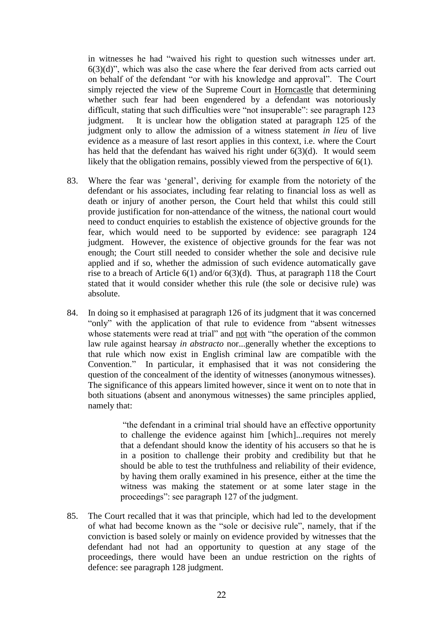in witnesses he had "waived his right to question such witnesses under art.  $6(3)(d)$ ", which was also the case where the fear derived from acts carried out on behalf of the defendant "or with his knowledge and approval". The Court simply rejected the view of the Supreme Court in Horncastle that determining whether such fear had been engendered by a defendant was notoriously difficult, stating that such difficulties were "not insuperable": see paragraph 123 judgment. It is unclear how the obligation stated at paragraph 125 of the judgment only to allow the admission of a witness statement *in lieu* of live evidence as a measure of last resort applies in this context, i.e. where the Court has held that the defendant has waived his right under 6(3)(d). It would seem likely that the obligation remains, possibly viewed from the perspective of 6(1).

- 83. Where the fear was 'general', deriving for example from the notoriety of the defendant or his associates, including fear relating to financial loss as well as death or injury of another person, the Court held that whilst this could still provide justification for non-attendance of the witness, the national court would need to conduct enquiries to establish the existence of objective grounds for the fear, which would need to be supported by evidence: see paragraph 124 judgment. However, the existence of objective grounds for the fear was not enough; the Court still needed to consider whether the sole and decisive rule applied and if so, whether the admission of such evidence automatically gave rise to a breach of Article 6(1) and/or 6(3)(d). Thus, at paragraph 118 the Court stated that it would consider whether this rule (the sole or decisive rule) was absolute.
- 84. In doing so it emphasised at paragraph 126 of its judgment that it was concerned "only" with the application of that rule to evidence from "absent witnesses whose statements were read at trial" and not with "the operation of the common law rule against hearsay *in abstracto* nor...generally whether the exceptions to that rule which now exist in English criminal law are compatible with the Convention." In particular, it emphasised that it was not considering the question of the concealment of the identity of witnesses (anonymous witnesses). The significance of this appears limited however, since it went on to note that in both situations (absent and anonymous witnesses) the same principles applied, namely that:

"the defendant in a criminal trial should have an effective opportunity to challenge the evidence against him [which]...requires not merely that a defendant should know the identity of his accusers so that he is in a position to challenge their probity and credibility but that he should be able to test the truthfulness and reliability of their evidence, by having them orally examined in his presence, either at the time the witness was making the statement or at some later stage in the proceedings": see paragraph 127 of the judgment.

85. The Court recalled that it was that principle, which had led to the development of what had become known as the "sole or decisive rule", namely, that if the conviction is based solely or mainly on evidence provided by witnesses that the defendant had not had an opportunity to question at any stage of the proceedings, there would have been an undue restriction on the rights of defence: see paragraph 128 judgment.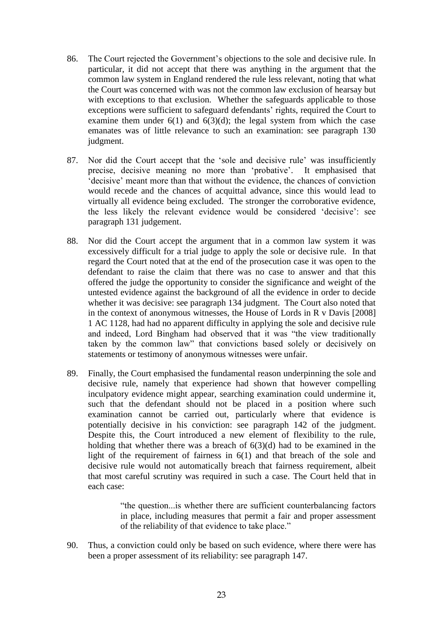- 86. The Court rejected the Government's objections to the sole and decisive rule. In particular, it did not accept that there was anything in the argument that the common law system in England rendered the rule less relevant, noting that what the Court was concerned with was not the common law exclusion of hearsay but with exceptions to that exclusion. Whether the safeguards applicable to those exceptions were sufficient to safeguard defendants' rights, required the Court to examine them under  $6(1)$  and  $6(3)(d)$ ; the legal system from which the case emanates was of little relevance to such an examination: see paragraph 130 judgment.
- 87. Nor did the Court accept that the 'sole and decisive rule' was insufficiently precise, decisive meaning no more than 'probative'. It emphasised that 'decisive' meant more than that without the evidence, the chances of conviction would recede and the chances of acquittal advance, since this would lead to virtually all evidence being excluded. The stronger the corroborative evidence, the less likely the relevant evidence would be considered 'decisive': see paragraph 131 judgement.
- 88. Nor did the Court accept the argument that in a common law system it was excessively difficult for a trial judge to apply the sole or decisive rule. In that regard the Court noted that at the end of the prosecution case it was open to the defendant to raise the claim that there was no case to answer and that this offered the judge the opportunity to consider the significance and weight of the untested evidence against the background of all the evidence in order to decide whether it was decisive: see paragraph 134 judgment. The Court also noted that in the context of anonymous witnesses, the House of Lords in R v Davis [2008] 1 AC 1128, had had no apparent difficulty in applying the sole and decisive rule and indeed, Lord Bingham had observed that it was "the view traditionally taken by the common law" that convictions based solely or decisively on statements or testimony of anonymous witnesses were unfair.
- 89. Finally, the Court emphasised the fundamental reason underpinning the sole and decisive rule, namely that experience had shown that however compelling inculpatory evidence might appear, searching examination could undermine it, such that the defendant should not be placed in a position where such examination cannot be carried out, particularly where that evidence is potentially decisive in his conviction: see paragraph 142 of the judgment. Despite this, the Court introduced a new element of flexibility to the rule, holding that whether there was a breach of  $6(3)(d)$  had to be examined in the light of the requirement of fairness in 6(1) and that breach of the sole and decisive rule would not automatically breach that fairness requirement, albeit that most careful scrutiny was required in such a case. The Court held that in each case:

"the question...is whether there are sufficient counterbalancing factors in place, including measures that permit a fair and proper assessment of the reliability of that evidence to take place."

90. Thus, a conviction could only be based on such evidence, where there were has been a proper assessment of its reliability: see paragraph 147.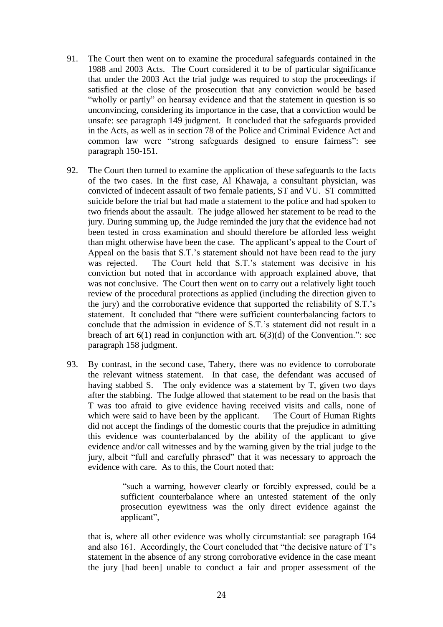- 91. The Court then went on to examine the procedural safeguards contained in the 1988 and 2003 Acts. The Court considered it to be of particular significance that under the 2003 Act the trial judge was required to stop the proceedings if satisfied at the close of the prosecution that any conviction would be based "wholly or partly" on hearsay evidence and that the statement in question is so unconvincing, considering its importance in the case, that a conviction would be unsafe: see paragraph 149 judgment. It concluded that the safeguards provided in the Acts, as well as in section 78 of the Police and Criminal Evidence Act and common law were "strong safeguards designed to ensure fairness": see paragraph 150-151.
- 92. The Court then turned to examine the application of these safeguards to the facts of the two cases. In the first case, Al Khawaja, a consultant physician, was convicted of indecent assault of two female patients, ST and VU. ST committed suicide before the trial but had made a statement to the police and had spoken to two friends about the assault. The judge allowed her statement to be read to the jury. During summing up, the Judge reminded the jury that the evidence had not been tested in cross examination and should therefore be afforded less weight than might otherwise have been the case. The applicant's appeal to the Court of Appeal on the basis that S.T.'s statement should not have been read to the jury was rejected. The Court held that S.T.'s statement was decisive in his conviction but noted that in accordance with approach explained above, that was not conclusive. The Court then went on to carry out a relatively light touch review of the procedural protections as applied (including the direction given to the jury) and the corroborative evidence that supported the reliability of S.T.'s statement. It concluded that "there were sufficient counterbalancing factors to conclude that the admission in evidence of S.T.'s statement did not result in a breach of art  $6(1)$  read in conjunction with art.  $6(3)(d)$  of the Convention.": see paragraph 158 judgment.
- 93. By contrast, in the second case, Tahery, there was no evidence to corroborate the relevant witness statement. In that case, the defendant was accused of having stabbed S. The only evidence was a statement by T, given two days after the stabbing. The Judge allowed that statement to be read on the basis that T was too afraid to give evidence having received visits and calls, none of which were said to have been by the applicant. The Court of Human Rights did not accept the findings of the domestic courts that the prejudice in admitting this evidence was counterbalanced by the ability of the applicant to give evidence and/or call witnesses and by the warning given by the trial judge to the jury, albeit "full and carefully phrased" that it was necessary to approach the evidence with care. As to this, the Court noted that:

"such a warning, however clearly or forcibly expressed, could be a sufficient counterbalance where an untested statement of the only prosecution eyewitness was the only direct evidence against the applicant",

that is, where all other evidence was wholly circumstantial: see paragraph 164 and also 161. Accordingly, the Court concluded that "the decisive nature of T's statement in the absence of any strong corroborative evidence in the case meant the jury [had been] unable to conduct a fair and proper assessment of the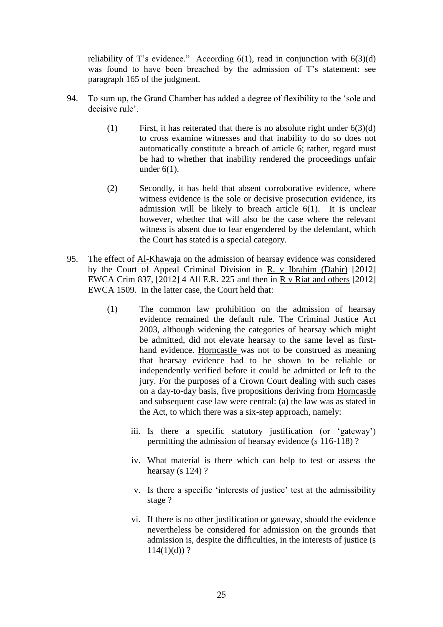reliability of T's evidence." According  $6(1)$ , read in conjunction with  $6(3)(d)$ was found to have been breached by the admission of T's statement: see paragraph 165 of the judgment.

- 94. To sum up, the Grand Chamber has added a degree of flexibility to the 'sole and decisive rule'.
	- (1) First, it has reiterated that there is no absolute right under  $6(3)(d)$ to cross examine witnesses and that inability to do so does not automatically constitute a breach of article 6; rather, regard must be had to whether that inability rendered the proceedings unfair under 6(1).
	- (2) Secondly, it has held that absent corroborative evidence, where witness evidence is the sole or decisive prosecution evidence, its admission will be likely to breach article 6(1). It is unclear however, whether that will also be the case where the relevant witness is absent due to fear engendered by the defendant, which the Court has stated is a special category.
- 95. The effect of Al-Khawaja on the admission of hearsay evidence was considered by the Court of Appeal Criminal Division in R. v Ibrahim (Dahir) [2012] EWCA Crim 837, [2012] 4 All E.R. 225 and then in R v Riat and others [2012] EWCA 1509. In the latter case, the Court held that:
	- (1) The common law prohibition on the admission of hearsay evidence remained the default rule. The Criminal Justice Act 2003, although widening the categories of hearsay which might be admitted, did not elevate hearsay to the same level as firsthand evidence. Horncastle was not to be construed as meaning that hearsay evidence had to be shown to be reliable or independently verified before it could be admitted or left to the jury. For the purposes of a Crown Court dealing with such cases on a day-to-day basis, five propositions deriving from Horncastle and subsequent case law were central: (a) the law was as stated in the Act, to which there was a six-step approach, namely:
		- iii. Is there a specific statutory justification (or 'gateway') permitting the admission of hearsay evidence (s 116-118) ?
		- iv. What material is there which can help to test or assess the hearsay (s  $124$ )?
		- v. Is there a specific 'interests of justice' test at the admissibility stage ?
		- vi. If there is no other justification or gateway, should the evidence nevertheless be considered for admission on the grounds that admission is, despite the difficulties, in the interests of justice (s  $114(1)(d)$ ?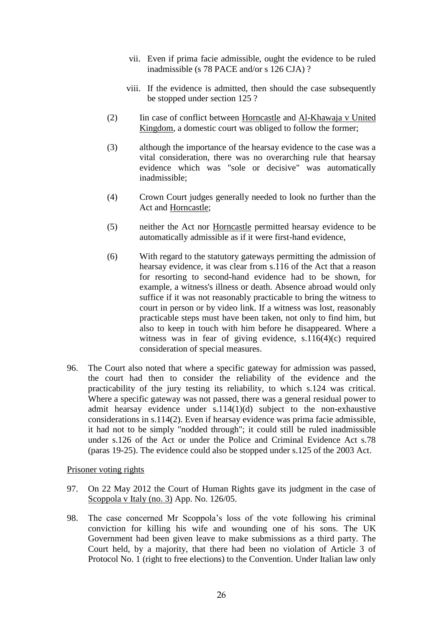- vii. Even if prima facie admissible, ought the evidence to be ruled inadmissible (s 78 PACE and/or s 126 CJA) ?
- viii. If the evidence is admitted, then should the case subsequently be stopped under section 125 ?
- (2) Iin case of conflict between Horncastle and Al-Khawaja v United Kingdom, a domestic court was obliged to follow the former;
- (3) although the importance of the hearsay evidence to the case was a vital consideration, there was no overarching rule that hearsay evidence which was "sole or decisive" was automatically inadmissible;
- (4) Crown Court judges generally needed to look no further than the Act and Horncastle;
- (5) neither the Act nor Horncastle permitted hearsay evidence to be automatically admissible as if it were first-hand evidence,
- (6) With regard to the statutory gateways permitting the admission of hearsay evidence, it was clear from s.116 of the Act that a reason for resorting to second-hand evidence had to be shown, for example, a witness's illness or death. Absence abroad would only suffice if it was not reasonably practicable to bring the witness to court in person or by video link. If a witness was lost, reasonably practicable steps must have been taken, not only to find him, but also to keep in touch with him before he disappeared. Where a witness was in fear of giving evidence, s.116(4)(c) required consideration of special measures.
- 96. The Court also noted that where a specific gateway for admission was passed, the court had then to consider the reliability of the evidence and the practicability of the jury testing its reliability, to which s.124 was critical. Where a specific gateway was not passed, there was a general residual power to admit hearsay evidence under s.114(1)(d) subject to the non-exhaustive considerations in s.114(2). Even if hearsay evidence was prima facie admissible, it had not to be simply "nodded through"; it could still be ruled inadmissible under s.126 of the Act or under the Police and Criminal Evidence Act s.78 (paras 19-25). The evidence could also be stopped under s.125 of the 2003 Act.

Prisoner voting rights

- 97. On 22 May 2012 the Court of Human Rights gave its judgment in the case of Scoppola v Italy (no. 3) App. No. 126/05.
- 98. The case concerned Mr Scoppola's loss of the vote following his criminal conviction for killing his wife and wounding one of his sons. The UK Government had been given leave to make submissions as a third party. The Court held, by a majority, that there had been no violation of Article 3 of Protocol No. 1 (right to free elections) to the Convention. Under Italian law only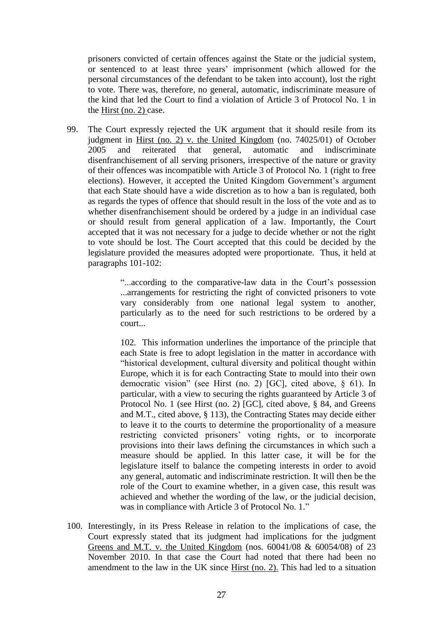prisoners convicted of certain offences against the State or the judicial system, or sentenced to at least three years' imprisonment (which allowed for the personal circumstances of the defendant to be taken into account), lost the right to vote. There was, therefore, no general, automatic, indiscriminate measure of the kind that led the Court to find a violation of Article 3 of Protocol No. 1 in the Hirst (no. 2) case.

99. The Court expressly rejected the UK argument that it should resile from its judgment in Hirst (no. 2) v. the United Kingdom (no. 74025/01) of October 2005 and reiterated that general, automatic and indiscriminate disenfranchisement of all serving prisoners, irrespective of the nature or gravity of their offences was incompatible with Article 3 of Protocol No. 1 (right to free elections). However, it accepted the United Kingdom Government's argument that each State should have a wide discretion as to how a ban is regulated, both as regards the types of offence that should result in the loss of the vote and as to whether disenfranchisement should be ordered by a judge in an individual case or should result from general application of a law. Importantly, the Court accepted that it was not necessary for a judge to decide whether or not the right to vote should be lost. The Court accepted that this could be decided by the legislature provided the measures adopted were proportionate. Thus, it held at paragraphs 101-102:

> "...according to the comparative-law data in the Court's possession ...arrangements for restricting the right of convicted prisoners to vote vary considerably from one national legal system to another, particularly as to the need for such restrictions to be ordered by a court...

> 102. This information underlines the importance of the principle that each State is free to adopt legislation in the matter in accordance with "historical development, cultural diversity and political thought within Europe, which it is for each Contracting State to mould into their own democratic vision" (see Hirst (no. 2) [GC], cited above, § 61). In particular, with a view to securing the rights guaranteed by Article 3 of Protocol No. 1 (see Hirst (no. 2) [GC], cited above, § 84, and Greens and M.T., cited above, § 113), the Contracting States may decide either to leave it to the courts to determine the proportionality of a measure restricting convicted prisoners' voting rights, or to incorporate provisions into their laws defining the circumstances in which such a measure should be applied. In this latter case, it will be for the legislature itself to balance the competing interests in order to avoid any general, automatic and indiscriminate restriction. It will then be the role of the Court to examine whether, in a given case, this result was achieved and whether the wording of the law, or the judicial decision, was in compliance with Article 3 of Protocol No. 1."

100. Interestingly, in its Press Release in relation to the implications of case, the Court expressly stated that its judgment had implications for the judgment Greens and M.T. v. the United Kingdom (nos. 60041/08 & 60054/08) of 23 November 2010. In that case the Court had noted that there had been no amendment to the law in the UK since Hirst (no. 2). This had led to a situation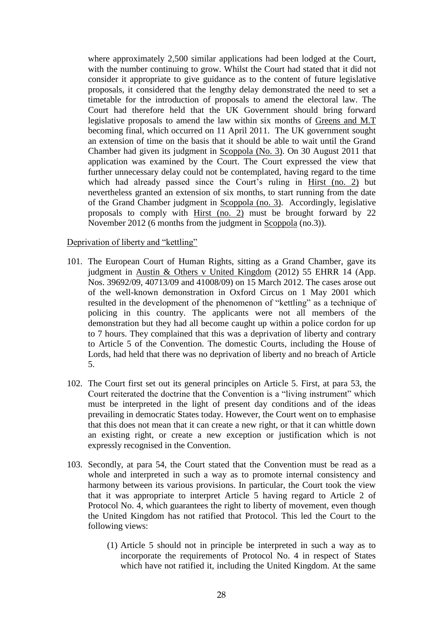where approximately 2,500 similar applications had been lodged at the Court, with the number continuing to grow. Whilst the Court had stated that it did not consider it appropriate to give guidance as to the content of future legislative proposals, it considered that the lengthy delay demonstrated the need to set a timetable for the introduction of proposals to amend the electoral law. The Court had therefore held that the UK Government should bring forward legislative proposals to amend the law within six months of Greens and M.T becoming final, which occurred on 11 April 2011. The UK government sought an extension of time on the basis that it should be able to wait until the Grand Chamber had given its judgment in Scoppola (No. 3). On 30 August 2011 that application was examined by the Court. The Court expressed the view that further unnecessary delay could not be contemplated, having regard to the time which had already passed since the Court's ruling in Hirst (no. 2) but nevertheless granted an extension of six months, to start running from the date of the Grand Chamber judgment in Scoppola (no. 3). Accordingly, legislative proposals to comply with Hirst (no. 2) must be brought forward by 22 November 2012 (6 months from the judgment in Scoppola (no.3)).

#### Deprivation of liberty and "kettling"

- 101. The European Court of Human Rights, sitting as a Grand Chamber, gave its judgment in Austin & Others v United Kingdom (2012) 55 EHRR 14 (App. Nos. 39692/09, 40713/09 and 41008/09) on 15 March 2012. The cases arose out of the well-known demonstration in Oxford Circus on 1 May 2001 which resulted in the development of the phenomenon of "kettling" as a technique of policing in this country. The applicants were not all members of the demonstration but they had all become caught up within a police cordon for up to 7 hours. They complained that this was a deprivation of liberty and contrary to Article 5 of the Convention. The domestic Courts, including the House of Lords, had held that there was no deprivation of liberty and no breach of Article 5.
- 102. The Court first set out its general principles on Article 5. First, at para 53, the Court reiterated the doctrine that the Convention is a "living instrument" which must be interpreted in the light of present day conditions and of the ideas prevailing in democratic States today. However, the Court went on to emphasise that this does not mean that it can create a new right, or that it can whittle down an existing right, or create a new exception or justification which is not expressly recognised in the Convention.
- 103. Secondly, at para 54, the Court stated that the Convention must be read as a whole and interpreted in such a way as to promote internal consistency and harmony between its various provisions. In particular, the Court took the view that it was appropriate to interpret Article 5 having regard to Article 2 of Protocol No. 4, which guarantees the right to liberty of movement, even though the United Kingdom has not ratified that Protocol. This led the Court to the following views:
	- (1) Article 5 should not in principle be interpreted in such a way as to incorporate the requirements of Protocol No. 4 in respect of States which have not ratified it, including the United Kingdom. At the same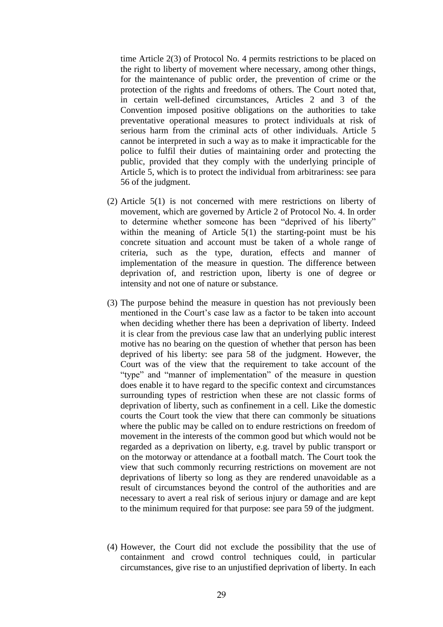time Article 2(3) of Protocol No. 4 permits restrictions to be placed on the right to liberty of movement where necessary, among other things, for the maintenance of public order, the prevention of crime or the protection of the rights and freedoms of others. The Court noted that, in certain well-defined circumstances, Articles 2 and 3 of the Convention imposed positive obligations on the authorities to take preventative operational measures to protect individuals at risk of serious harm from the criminal acts of other individuals. Article 5 cannot be interpreted in such a way as to make it impracticable for the police to fulfil their duties of maintaining order and protecting the public, provided that they comply with the underlying principle of Article 5, which is to protect the individual from arbitrariness: see para 56 of the judgment.

- (2) Article 5(1) is not concerned with mere restrictions on liberty of movement, which are governed by Article 2 of Protocol No. 4. In order to determine whether someone has been "deprived of his liberty" within the meaning of Article 5(1) the starting-point must be his concrete situation and account must be taken of a whole range of criteria, such as the type, duration, effects and manner of implementation of the measure in question. The difference between deprivation of, and restriction upon, liberty is one of degree or intensity and not one of nature or substance.
- (3) The purpose behind the measure in question has not previously been mentioned in the Court's case law as a factor to be taken into account when deciding whether there has been a deprivation of liberty. Indeed it is clear from the previous case law that an underlying public interest motive has no bearing on the question of whether that person has been deprived of his liberty: see para 58 of the judgment. However, the Court was of the view that the requirement to take account of the "type" and "manner of implementation" of the measure in question does enable it to have regard to the specific context and circumstances surrounding types of restriction when these are not classic forms of deprivation of liberty, such as confinement in a cell. Like the domestic courts the Court took the view that there can commonly be situations where the public may be called on to endure restrictions on freedom of movement in the interests of the common good but which would not be regarded as a deprivation on liberty, e.g. travel by public transport or on the motorway or attendance at a football match. The Court took the view that such commonly recurring restrictions on movement are not deprivations of liberty so long as they are rendered unavoidable as a result of circumstances beyond the control of the authorities and are necessary to avert a real risk of serious injury or damage and are kept to the minimum required for that purpose: see para 59 of the judgment.
- (4) However, the Court did not exclude the possibility that the use of containment and crowd control techniques could, in particular circumstances, give rise to an unjustified deprivation of liberty. In each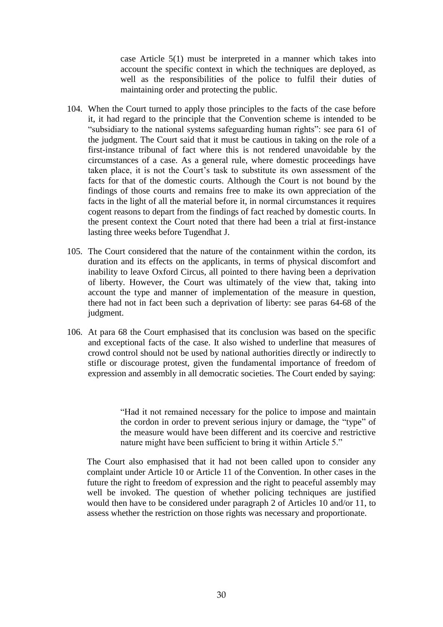case Article 5(1) must be interpreted in a manner which takes into account the specific context in which the techniques are deployed, as well as the responsibilities of the police to fulfil their duties of maintaining order and protecting the public.

- 104. When the Court turned to apply those principles to the facts of the case before it, it had regard to the principle that the Convention scheme is intended to be "subsidiary to the national systems safeguarding human rights": see para 61 of the judgment. The Court said that it must be cautious in taking on the role of a first-instance tribunal of fact where this is not rendered unavoidable by the circumstances of a case. As a general rule, where domestic proceedings have taken place, it is not the Court's task to substitute its own assessment of the facts for that of the domestic courts. Although the Court is not bound by the findings of those courts and remains free to make its own appreciation of the facts in the light of all the material before it, in normal circumstances it requires cogent reasons to depart from the findings of fact reached by domestic courts. In the present context the Court noted that there had been a trial at first-instance lasting three weeks before Tugendhat J.
- 105. The Court considered that the nature of the containment within the cordon, its duration and its effects on the applicants, in terms of physical discomfort and inability to leave Oxford Circus, all pointed to there having been a deprivation of liberty. However, the Court was ultimately of the view that, taking into account the type and manner of implementation of the measure in question, there had not in fact been such a deprivation of liberty: see paras 64-68 of the judgment.
- 106. At para 68 the Court emphasised that its conclusion was based on the specific and exceptional facts of the case. It also wished to underline that measures of crowd control should not be used by national authorities directly or indirectly to stifle or discourage protest, given the fundamental importance of freedom of expression and assembly in all democratic societies. The Court ended by saying:

"Had it not remained necessary for the police to impose and maintain the cordon in order to prevent serious injury or damage, the "type" of the measure would have been different and its coercive and restrictive nature might have been sufficient to bring it within Article 5."

The Court also emphasised that it had not been called upon to consider any complaint under Article 10 or Article 11 of the Convention. In other cases in the future the right to freedom of expression and the right to peaceful assembly may well be invoked. The question of whether policing techniques are justified would then have to be considered under paragraph 2 of Articles 10 and/or 11, to assess whether the restriction on those rights was necessary and proportionate.